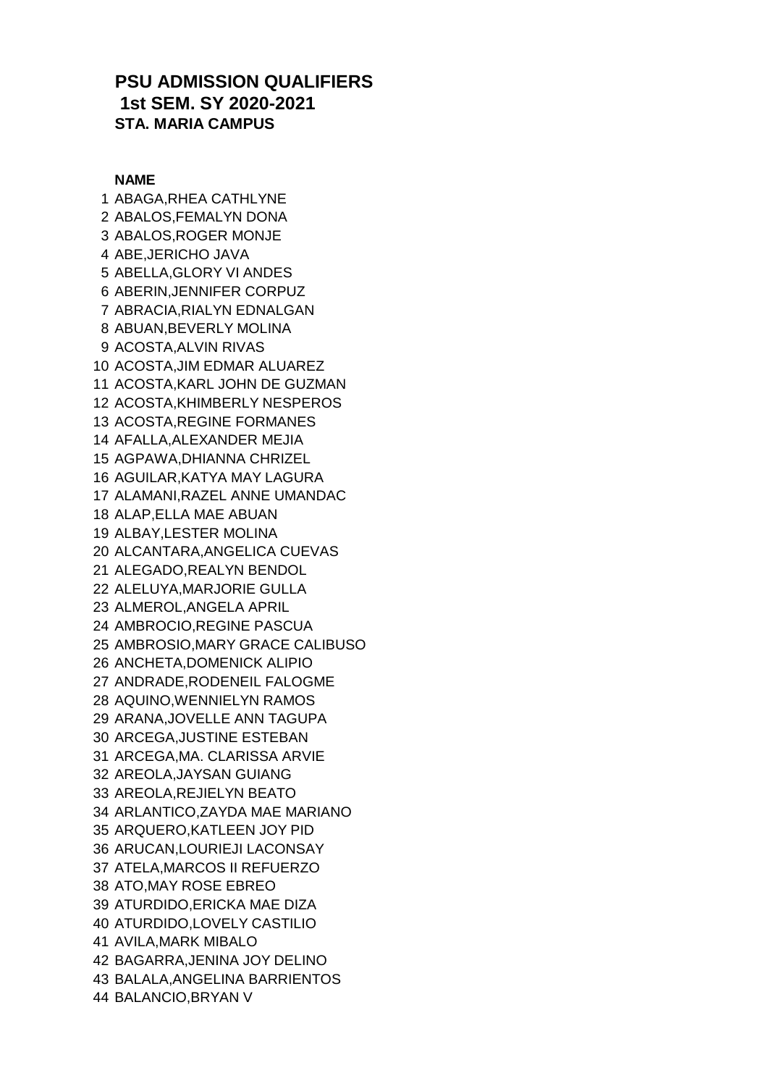## **PSU ADMISSION QUALIFIERS 1st SEM. SY 2020-2021 STA. MARIA CAMPUS**

## **NAME**

 ABAGA,RHEA CATHLYNE ABALOS,FEMALYN DONA ABALOS,ROGER MONJE ABE,JERICHO JAVA ABELLA,GLORY VI ANDES ABERIN,JENNIFER CORPUZ ABRACIA,RIALYN EDNALGAN ABUAN,BEVERLY MOLINA ACOSTA,ALVIN RIVAS ACOSTA,JIM EDMAR ALUAREZ ACOSTA,KARL JOHN DE GUZMAN ACOSTA,KHIMBERLY NESPEROS ACOSTA,REGINE FORMANES AFALLA,ALEXANDER MEJIA AGPAWA,DHIANNA CHRIZEL AGUILAR,KATYA MAY LAGURA ALAMANI,RAZEL ANNE UMANDAC ALAP,ELLA MAE ABUAN ALBAY,LESTER MOLINA ALCANTARA,ANGELICA CUEVAS ALEGADO,REALYN BENDOL ALELUYA,MARJORIE GULLA ALMEROL,ANGELA APRIL AMBROCIO,REGINE PASCUA AMBROSIO,MARY GRACE CALIBUSO ANCHETA,DOMENICK ALIPIO ANDRADE,RODENEIL FALOGME AQUINO,WENNIELYN RAMOS ARANA,JOVELLE ANN TAGUPA ARCEGA,JUSTINE ESTEBAN ARCEGA,MA. CLARISSA ARVIE AREOLA,JAYSAN GUIANG AREOLA,REJIELYN BEATO ARLANTICO,ZAYDA MAE MARIANO ARQUERO,KATLEEN JOY PID ARUCAN,LOURIEJI LACONSAY ATELA,MARCOS II REFUERZO ATO,MAY ROSE EBREO ATURDIDO,ERICKA MAE DIZA ATURDIDO,LOVELY CASTILIO AVILA,MARK MIBALO BAGARRA,JENINA JOY DELINO BALALA,ANGELINA BARRIENTOS BALANCIO,BRYAN V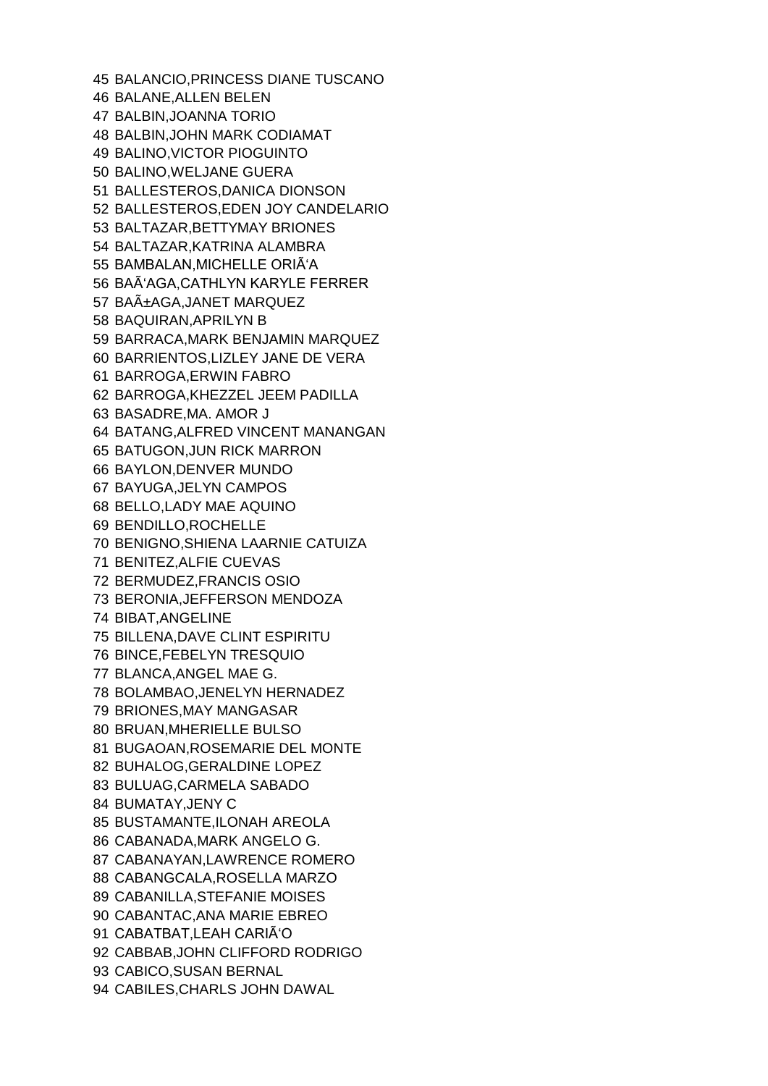BALANCIO,PRINCESS DIANE TUSCANO BALANE,ALLEN BELEN BALBIN,JOANNA TORIO BALBIN,JOHN MARK CODIAMAT BALINO,VICTOR PIOGUINTO BALINO,WELJANE GUERA BALLESTEROS,DANICA DIONSON BALLESTEROS,EDEN JOY CANDELARIO BALTAZAR,BETTYMAY BRIONES BALTAZAR,KATRINA ALAMBRA 55 BAMBALAN, MICHELLE ORIA<sup>'</sup>A 56 BAÃ'AGA, CATHLYN KARYLE FERRER 57 BAñAGA, JANET MARQUEZ BAQUIRAN,APRILYN B BARRACA,MARK BENJAMIN MARQUEZ BARRIENTOS,LIZLEY JANE DE VERA BARROGA,ERWIN FABRO BARROGA,KHEZZEL JEEM PADILLA BASADRE,MA. AMOR J BATANG,ALFRED VINCENT MANANGAN BATUGON,JUN RICK MARRON BAYLON,DENVER MUNDO BAYUGA,JELYN CAMPOS BELLO,LADY MAE AQUINO BENDILLO,ROCHELLE BENIGNO,SHIENA LAARNIE CATUIZA BENITEZ,ALFIE CUEVAS BERMUDEZ,FRANCIS OSIO BERONIA,JEFFERSON MENDOZA BIBAT,ANGELINE BILLENA,DAVE CLINT ESPIRITU BINCE,FEBELYN TRESQUIO BLANCA,ANGEL MAE G. BOLAMBAO,JENELYN HERNADEZ BRIONES,MAY MANGASAR BRUAN,MHERIELLE BULSO BUGAOAN,ROSEMARIE DEL MONTE BUHALOG,GERALDINE LOPEZ BULUAG,CARMELA SABADO BUMATAY,JENY C BUSTAMANTE,ILONAH AREOLA CABANADA,MARK ANGELO G. CABANAYAN,LAWRENCE ROMERO CABANGCALA,ROSELLA MARZO CABANILLA,STEFANIE MOISES CABANTAC,ANA MARIE EBREO 91 CABATBAT, LEAH CARIA<sup>'</sup>O CABBAB,JOHN CLIFFORD RODRIGO CABICO,SUSAN BERNAL CABILES,CHARLS JOHN DAWAL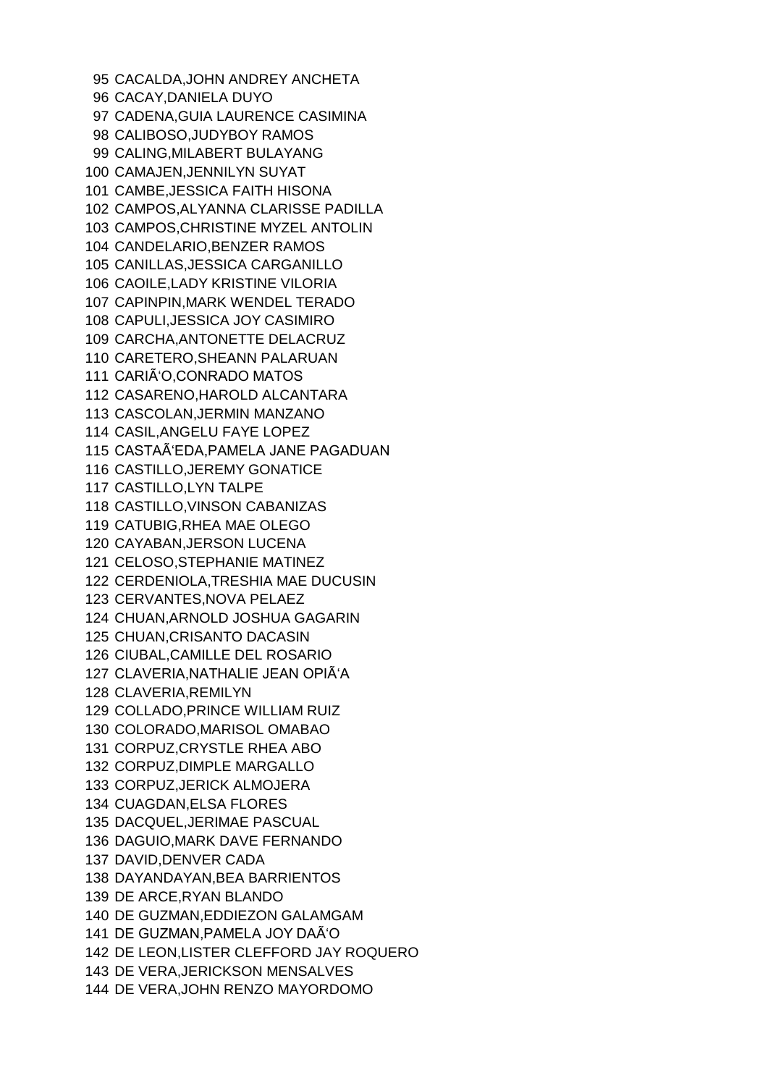CACALDA,JOHN ANDREY ANCHETA CACAY,DANIELA DUYO CADENA,GUIA LAURENCE CASIMINA CALIBOSO,JUDYBOY RAMOS CALING,MILABERT BULAYANG CAMAJEN,JENNILYN SUYAT CAMBE,JESSICA FAITH HISONA CAMPOS,ALYANNA CLARISSE PADILLA CAMPOS,CHRISTINE MYZEL ANTOLIN CANDELARIO,BENZER RAMOS CANILLAS,JESSICA CARGANILLO CAOILE,LADY KRISTINE VILORIA CAPINPIN,MARK WENDEL TERADO CAPULI,JESSICA JOY CASIMIRO CARCHA,ANTONETTE DELACRUZ CARETERO,SHEANN PALARUAN CARIÑO,CONRADO MATOS CASARENO,HAROLD ALCANTARA CASCOLAN,JERMIN MANZANO CASIL,ANGELU FAYE LOPEZ 115 CASTAÃ'EDA, PAMELA JANE PAGADUAN CASTILLO,JEREMY GONATICE CASTILLO,LYN TALPE CASTILLO,VINSON CABANIZAS CATUBIG,RHEA MAE OLEGO CAYABAN,JERSON LUCENA CELOSO,STEPHANIE MATINEZ CERDENIOLA,TRESHIA MAE DUCUSIN CERVANTES,NOVA PELAEZ CHUAN,ARNOLD JOSHUA GAGARIN CHUAN,CRISANTO DACASIN CIUBAL,CAMILLE DEL ROSARIO 127 CLAVERIA, NATHALIE JEAN OPIÃ'A CLAVERIA,REMILYN COLLADO,PRINCE WILLIAM RUIZ COLORADO,MARISOL OMABAO CORPUZ,CRYSTLE RHEA ABO CORPUZ,DIMPLE MARGALLO CORPUZ,JERICK ALMOJERA CUAGDAN,ELSA FLORES DACQUEL,JERIMAE PASCUAL DAGUIO,MARK DAVE FERNANDO DAVID,DENVER CADA DAYANDAYAN,BEA BARRIENTOS DE ARCE,RYAN BLANDO DE GUZMAN,EDDIEZON GALAMGAM 141 DE GUZMAN, PAMELA JOY DAÃ'O DE LEON,LISTER CLEFFORD JAY ROQUERO DE VERA,JERICKSON MENSALVES DE VERA,JOHN RENZO MAYORDOMO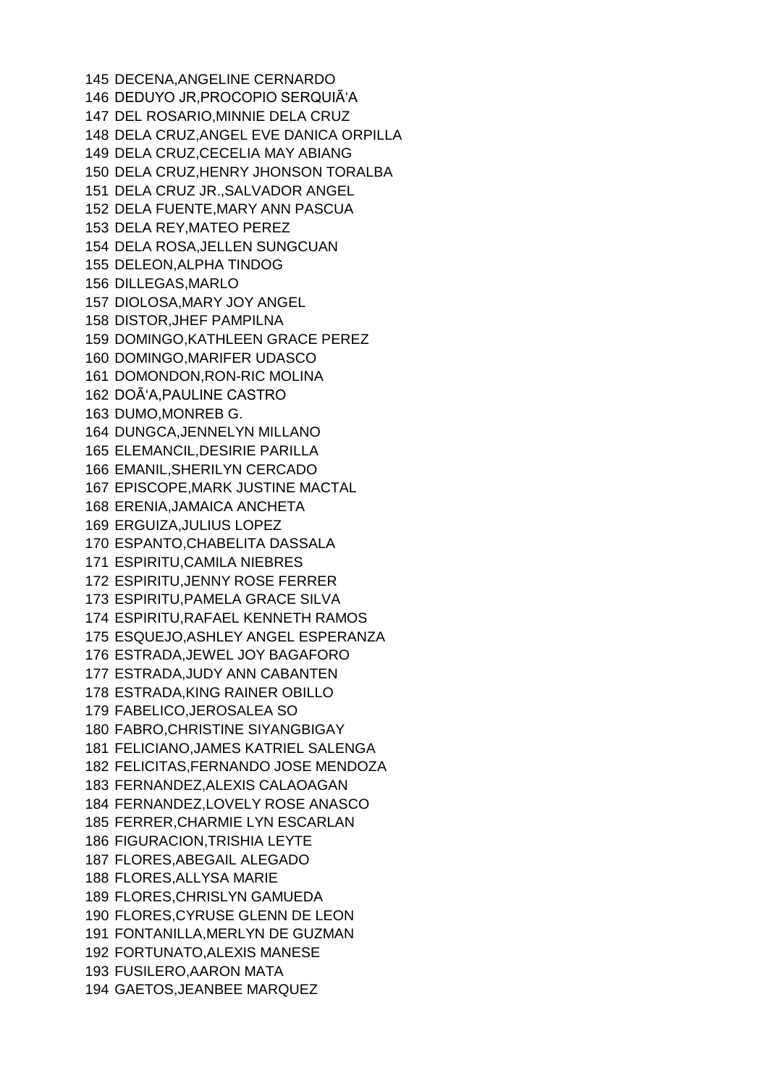DECENA,ANGELINE CERNARDO 146 DEDUYO JR, PROCOPIO SERQUIÃ'A DEL ROSARIO,MINNIE DELA CRUZ DELA CRUZ,ANGEL EVE DANICA ORPILLA DELA CRUZ,CECELIA MAY ABIANG DELA CRUZ,HENRY JHONSON TORALBA DELA CRUZ JR.,SALVADOR ANGEL DELA FUENTE,MARY ANN PASCUA DELA REY,MATEO PEREZ DELA ROSA,JELLEN SUNGCUAN DELEON,ALPHA TINDOG DILLEGAS,MARLO DIOLOSA,MARY JOY ANGEL DISTOR,JHEF PAMPILNA DOMINGO,KATHLEEN GRACE PEREZ DOMINGO,MARIFER UDASCO DOMONDON,RON-RIC MOLINA 162 DOÃ'A, PAULINE CASTRO DUMO,MONREB G. DUNGCA,JENNELYN MILLANO ELEMANCIL,DESIRIE PARILLA EMANIL,SHERILYN CERCADO EPISCOPE,MARK JUSTINE MACTAL ERENIA,JAMAICA ANCHETA ERGUIZA,JULIUS LOPEZ ESPANTO,CHABELITA DASSALA ESPIRITU,CAMILA NIEBRES ESPIRITU,JENNY ROSE FERRER ESPIRITU,PAMELA GRACE SILVA ESPIRITU,RAFAEL KENNETH RAMOS ESQUEJO,ASHLEY ANGEL ESPERANZA ESTRADA,JEWEL JOY BAGAFORO ESTRADA,JUDY ANN CABANTEN ESTRADA,KING RAINER OBILLO FABELICO,JEROSALEA SO FABRO,CHRISTINE SIYANGBIGAY FELICIANO,JAMES KATRIEL SALENGA FELICITAS,FERNANDO JOSE MENDOZA FERNANDEZ,ALEXIS CALAOAGAN FERNANDEZ,LOVELY ROSE ANASCO FERRER,CHARMIE LYN ESCARLAN FIGURACION,TRISHIA LEYTE FLORES,ABEGAIL ALEGADO FLORES,ALLYSA MARIE FLORES,CHRISLYN GAMUEDA FLORES,CYRUSE GLENN DE LEON FONTANILLA,MERLYN DE GUZMAN FORTUNATO,ALEXIS MANESE FUSILERO,AARON MATA GAETOS,JEANBEE MARQUEZ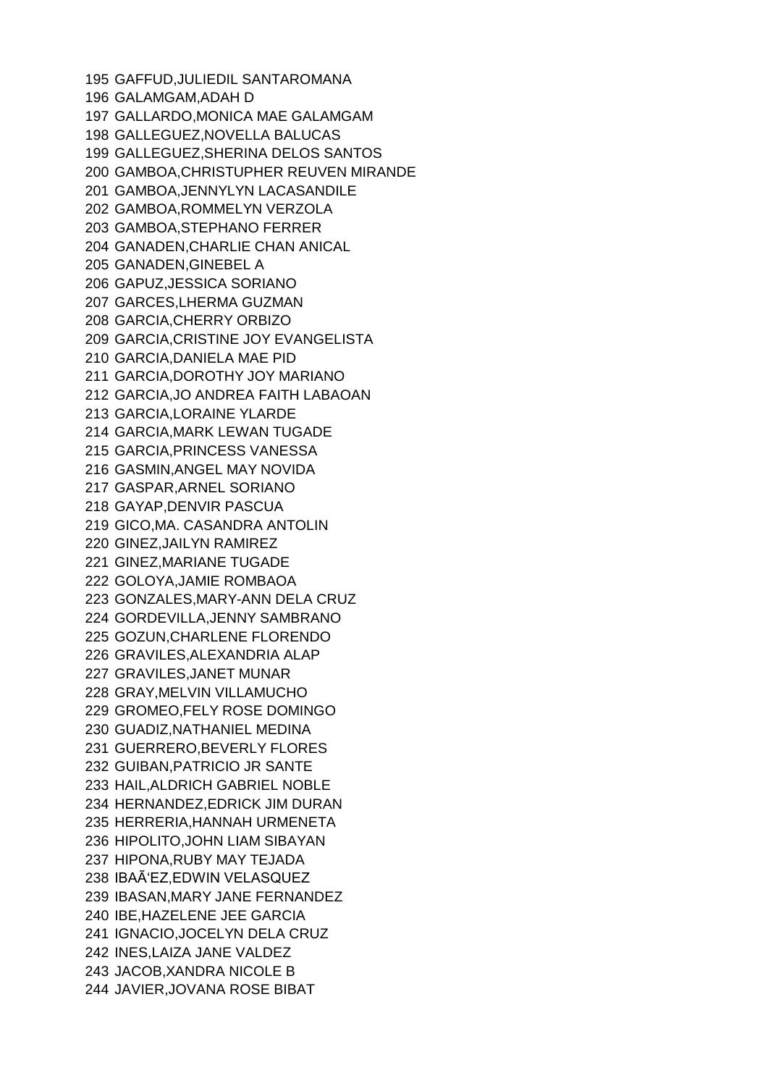GAFFUD,JULIEDIL SANTAROMANA GALAMGAM,ADAH D GALLARDO,MONICA MAE GALAMGAM GALLEGUEZ,NOVELLA BALUCAS GALLEGUEZ,SHERINA DELOS SANTOS GAMBOA,CHRISTUPHER REUVEN MIRANDE GAMBOA,JENNYLYN LACASANDILE GAMBOA,ROMMELYN VERZOLA GAMBOA,STEPHANO FERRER GANADEN,CHARLIE CHAN ANICAL GANADEN,GINEBEL A GAPUZ,JESSICA SORIANO GARCES,LHERMA GUZMAN GARCIA,CHERRY ORBIZO GARCIA,CRISTINE JOY EVANGELISTA GARCIA,DANIELA MAE PID GARCIA,DOROTHY JOY MARIANO GARCIA,JO ANDREA FAITH LABAOAN GARCIA,LORAINE YLARDE GARCIA,MARK LEWAN TUGADE GARCIA,PRINCESS VANESSA GASMIN,ANGEL MAY NOVIDA GASPAR,ARNEL SORIANO GAYAP,DENVIR PASCUA GICO,MA. CASANDRA ANTOLIN GINEZ,JAILYN RAMIREZ GINEZ,MARIANE TUGADE GOLOYA,JAMIE ROMBAOA GONZALES,MARY-ANN DELA CRUZ GORDEVILLA,JENNY SAMBRANO GOZUN,CHARLENE FLORENDO GRAVILES,ALEXANDRIA ALAP GRAVILES,JANET MUNAR GRAY,MELVIN VILLAMUCHO GROMEO,FELY ROSE DOMINGO GUADIZ,NATHANIEL MEDINA GUERRERO,BEVERLY FLORES GUIBAN,PATRICIO JR SANTE HAIL,ALDRICH GABRIEL NOBLE HERNANDEZ,EDRICK JIM DURAN HERRERIA,HANNAH URMENETA HIPOLITO,JOHN LIAM SIBAYAN HIPONA,RUBY MAY TEJADA IBAÑEZ,EDWIN VELASQUEZ IBASAN,MARY JANE FERNANDEZ IBE,HAZELENE JEE GARCIA IGNACIO,JOCELYN DELA CRUZ INES,LAIZA JANE VALDEZ JACOB,XANDRA NICOLE B JAVIER,JOVANA ROSE BIBAT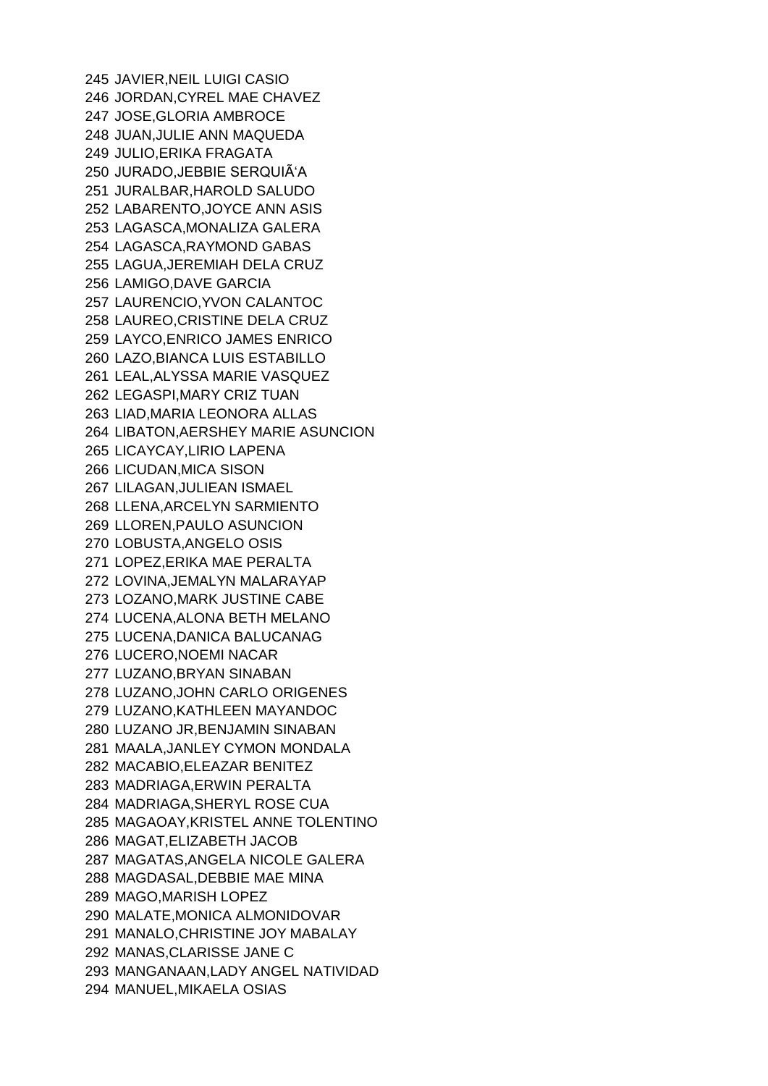JAVIER,NEIL LUIGI CASIO JORDAN,CYREL MAE CHAVEZ JOSE,GLORIA AMBROCE JUAN,JULIE ANN MAQUEDA JULIO,ERIKA FRAGATA 250 JURADO, JEBBIE SERQUIÃ'A JURALBAR,HAROLD SALUDO LABARENTO,JOYCE ANN ASIS LAGASCA,MONALIZA GALERA LAGASCA,RAYMOND GABAS LAGUA,JEREMIAH DELA CRUZ LAMIGO,DAVE GARCIA LAURENCIO,YVON CALANTOC LAUREO,CRISTINE DELA CRUZ LAYCO,ENRICO JAMES ENRICO LAZO,BIANCA LUIS ESTABILLO LEAL,ALYSSA MARIE VASQUEZ LEGASPI,MARY CRIZ TUAN LIAD,MARIA LEONORA ALLAS LIBATON,AERSHEY MARIE ASUNCION LICAYCAY,LIRIO LAPENA LICUDAN,MICA SISON LILAGAN,JULIEAN ISMAEL LLENA,ARCELYN SARMIENTO LLOREN,PAULO ASUNCION LOBUSTA,ANGELO OSIS LOPEZ,ERIKA MAE PERALTA LOVINA,JEMALYN MALARAYAP LOZANO,MARK JUSTINE CABE LUCENA,ALONA BETH MELANO LUCENA,DANICA BALUCANAG LUCERO,NOEMI NACAR LUZANO,BRYAN SINABAN LUZANO,JOHN CARLO ORIGENES LUZANO,KATHLEEN MAYANDOC LUZANO JR,BENJAMIN SINABAN MAALA,JANLEY CYMON MONDALA MACABIO,ELEAZAR BENITEZ MADRIAGA,ERWIN PERALTA MADRIAGA,SHERYL ROSE CUA MAGAOAY,KRISTEL ANNE TOLENTINO MAGAT,ELIZABETH JACOB MAGATAS,ANGELA NICOLE GALERA MAGDASAL,DEBBIE MAE MINA MAGO,MARISH LOPEZ MALATE,MONICA ALMONIDOVAR MANALO,CHRISTINE JOY MABALAY MANAS,CLARISSE JANE C MANGANAAN,LADY ANGEL NATIVIDAD MANUEL,MIKAELA OSIAS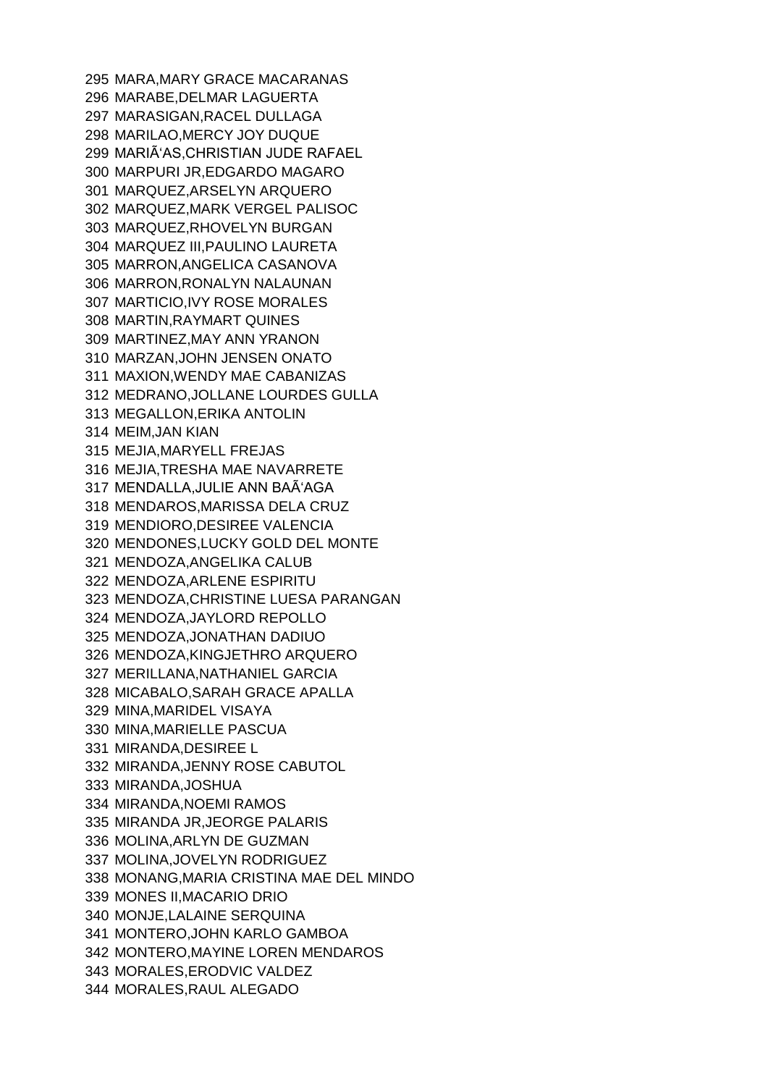MARA,MARY GRACE MACARANAS MARABE,DELMAR LAGUERTA MARASIGAN,RACEL DULLAGA MARILAO,MERCY JOY DUQUE 299 MARIÃ'AS, CHRISTIAN JUDE RAFAEL MARPURI JR,EDGARDO MAGARO MARQUEZ,ARSELYN ARQUERO MARQUEZ,MARK VERGEL PALISOC MARQUEZ,RHOVELYN BURGAN MARQUEZ III,PAULINO LAURETA MARRON,ANGELICA CASANOVA MARRON,RONALYN NALAUNAN MARTICIO,IVY ROSE MORALES MARTIN,RAYMART QUINES MARTINEZ,MAY ANN YRANON MARZAN,JOHN JENSEN ONATO MAXION,WENDY MAE CABANIZAS MEDRANO,JOLLANE LOURDES GULLA MEGALLON,ERIKA ANTOLIN MEIM,JAN KIAN MEJIA,MARYELL FREJAS MEJIA,TRESHA MAE NAVARRETE 317 MENDALLA, JULIE ANN BAÃ'AGA MENDAROS,MARISSA DELA CRUZ MENDIORO,DESIREE VALENCIA MENDONES,LUCKY GOLD DEL MONTE MENDOZA,ANGELIKA CALUB MENDOZA,ARLENE ESPIRITU MENDOZA,CHRISTINE LUESA PARANGAN MENDOZA,JAYLORD REPOLLO MENDOZA,JONATHAN DADIUO MENDOZA,KINGJETHRO ARQUERO MERILLANA,NATHANIEL GARCIA MICABALO,SARAH GRACE APALLA MINA,MARIDEL VISAYA MINA,MARIELLE PASCUA MIRANDA,DESIREE L MIRANDA,JENNY ROSE CABUTOL MIRANDA,JOSHUA MIRANDA,NOEMI RAMOS MIRANDA JR,JEORGE PALARIS MOLINA,ARLYN DE GUZMAN MOLINA,JOVELYN RODRIGUEZ MONANG,MARIA CRISTINA MAE DEL MINDO MONES II,MACARIO DRIO MONJE,LALAINE SERQUINA MONTERO,JOHN KARLO GAMBOA MONTERO,MAYINE LOREN MENDAROS MORALES,ERODVIC VALDEZ MORALES,RAUL ALEGADO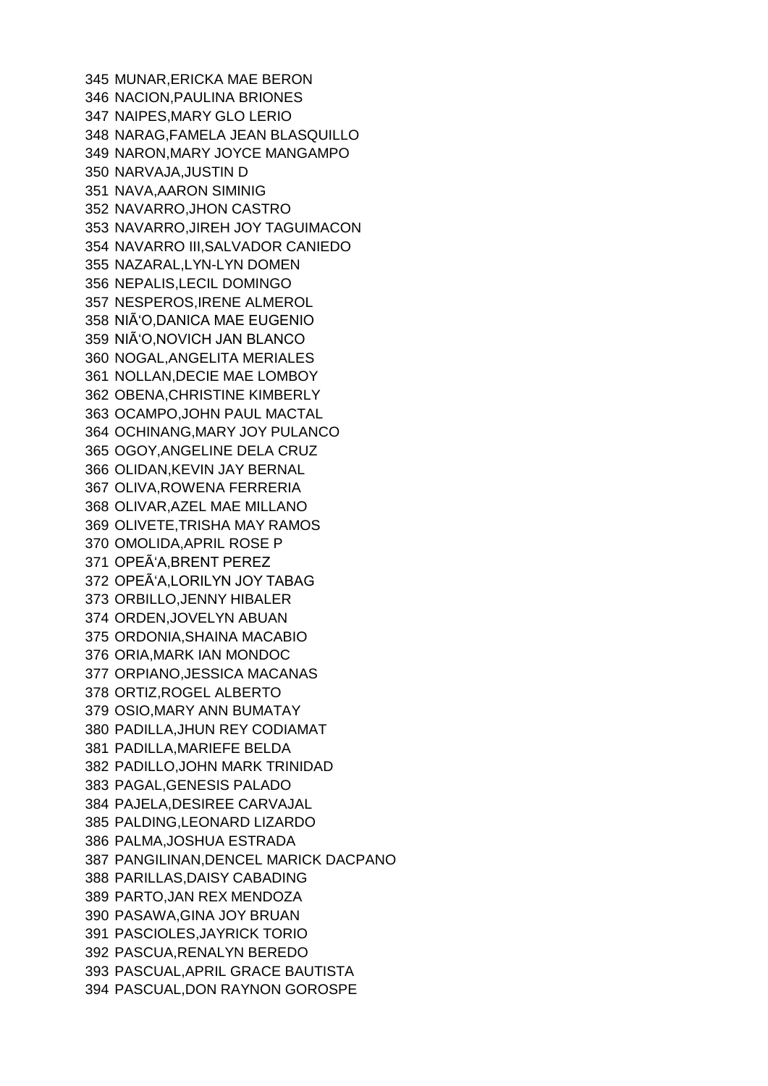MUNAR,ERICKA MAE BERON NACION,PAULINA BRIONES NAIPES,MARY GLO LERIO NARAG,FAMELA JEAN BLASQUILLO NARON,MARY JOYCE MANGAMPO NARVAJA,JUSTIN D NAVA,AARON SIMINIG NAVARRO,JHON CASTRO NAVARRO,JIREH JOY TAGUIMACON NAVARRO III,SALVADOR CANIEDO NAZARAL,LYN-LYN DOMEN NEPALIS,LECIL DOMINGO NESPEROS,IRENE ALMEROL NIÑO,DANICA MAE EUGENIO NIÑO,NOVICH JAN BLANCO NOGAL,ANGELITA MERIALES NOLLAN,DECIE MAE LOMBOY OBENA,CHRISTINE KIMBERLY OCAMPO,JOHN PAUL MACTAL OCHINANG,MARY JOY PULANCO OGOY,ANGELINE DELA CRUZ OLIDAN,KEVIN JAY BERNAL OLIVA,ROWENA FERRERIA OLIVAR,AZEL MAE MILLANO OLIVETE,TRISHA MAY RAMOS OMOLIDA,APRIL ROSE P 371 OPEÃ'A, BRENT PEREZ 372 OPEÂ'A, LORILYN JOY TABAG ORBILLO,JENNY HIBALER ORDEN,JOVELYN ABUAN ORDONIA,SHAINA MACABIO ORIA,MARK IAN MONDOC ORPIANO,JESSICA MACANAS ORTIZ,ROGEL ALBERTO OSIO,MARY ANN BUMATAY PADILLA,JHUN REY CODIAMAT PADILLA,MARIEFE BELDA PADILLO,JOHN MARK TRINIDAD PAGAL,GENESIS PALADO PAJELA,DESIREE CARVAJAL PALDING,LEONARD LIZARDO PALMA,JOSHUA ESTRADA PANGILINAN,DENCEL MARICK DACPANO PARILLAS,DAISY CABADING PARTO,JAN REX MENDOZA PASAWA,GINA JOY BRUAN PASCIOLES,JAYRICK TORIO PASCUA,RENALYN BEREDO PASCUAL,APRIL GRACE BAUTISTA PASCUAL,DON RAYNON GOROSPE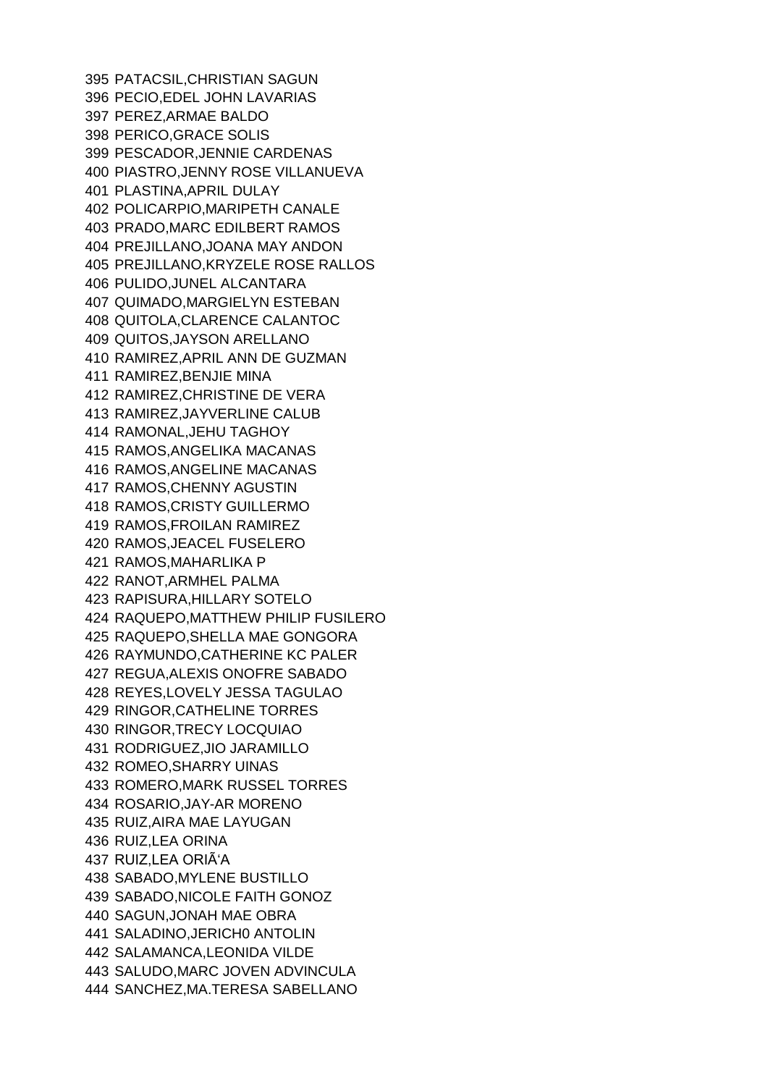PATACSIL,CHRISTIAN SAGUN PECIO,EDEL JOHN LAVARIAS PEREZ,ARMAE BALDO PERICO,GRACE SOLIS PESCADOR,JENNIE CARDENAS PIASTRO,JENNY ROSE VILLANUEVA PLASTINA,APRIL DULAY POLICARPIO,MARIPETH CANALE PRADO,MARC EDILBERT RAMOS PREJILLANO,JOANA MAY ANDON PREJILLANO,KRYZELE ROSE RALLOS PULIDO,JUNEL ALCANTARA QUIMADO,MARGIELYN ESTEBAN QUITOLA,CLARENCE CALANTOC QUITOS,JAYSON ARELLANO RAMIREZ,APRIL ANN DE GUZMAN RAMIREZ,BENJIE MINA RAMIREZ,CHRISTINE DE VERA RAMIREZ,JAYVERLINE CALUB RAMONAL,JEHU TAGHOY RAMOS,ANGELIKA MACANAS RAMOS,ANGELINE MACANAS RAMOS,CHENNY AGUSTIN RAMOS,CRISTY GUILLERMO RAMOS,FROILAN RAMIREZ RAMOS,JEACEL FUSELERO RAMOS,MAHARLIKA P RANOT,ARMHEL PALMA RAPISURA,HILLARY SOTELO RAQUEPO,MATTHEW PHILIP FUSILERO RAQUEPO,SHELLA MAE GONGORA RAYMUNDO,CATHERINE KC PALER REGUA,ALEXIS ONOFRE SABADO REYES,LOVELY JESSA TAGULAO RINGOR,CATHELINE TORRES RINGOR,TRECY LOCQUIAO RODRIGUEZ,JIO JARAMILLO ROMEO,SHARRY UINAS ROMERO,MARK RUSSEL TORRES ROSARIO,JAY-AR MORENO RUIZ,AIRA MAE LAYUGAN RUIZ,LEA ORINA 437 RUIZ, LEA ORIÃ'A SABADO,MYLENE BUSTILLO SABADO,NICOLE FAITH GONOZ SAGUN,JONAH MAE OBRA SALADINO,JERICH0 ANTOLIN SALAMANCA,LEONIDA VILDE SALUDO,MARC JOVEN ADVINCULA SANCHEZ,MA.TERESA SABELLANO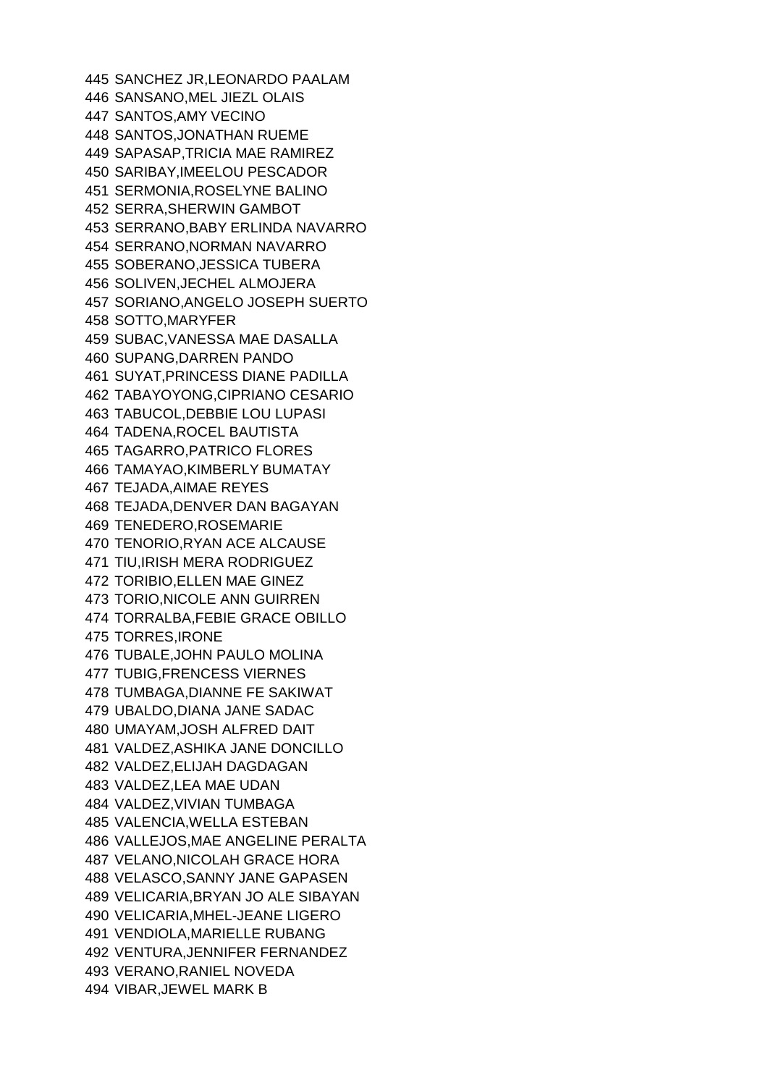SANCHEZ JR,LEONARDO PAALAM SANSANO,MEL JIEZL OLAIS SANTOS,AMY VECINO SANTOS,JONATHAN RUEME SAPASAP,TRICIA MAE RAMIREZ SARIBAY,IMEELOU PESCADOR SERMONIA,ROSELYNE BALINO SERRA,SHERWIN GAMBOT SERRANO,BABY ERLINDA NAVARRO SERRANO,NORMAN NAVARRO SOBERANO,JESSICA TUBERA SOLIVEN,JECHEL ALMOJERA SORIANO,ANGELO JOSEPH SUERTO SOTTO,MARYFER SUBAC,VANESSA MAE DASALLA SUPANG,DARREN PANDO SUYAT,PRINCESS DIANE PADILLA TABAYOYONG,CIPRIANO CESARIO TABUCOL,DEBBIE LOU LUPASI TADENA,ROCEL BAUTISTA TAGARRO,PATRICO FLORES TAMAYAO,KIMBERLY BUMATAY TEJADA,AIMAE REYES TEJADA,DENVER DAN BAGAYAN TENEDERO,ROSEMARIE TENORIO,RYAN ACE ALCAUSE TIU,IRISH MERA RODRIGUEZ TORIBIO,ELLEN MAE GINEZ TORIO,NICOLE ANN GUIRREN TORRALBA,FEBIE GRACE OBILLO TORRES,IRONE TUBALE,JOHN PAULO MOLINA TUBIG,FRENCESS VIERNES TUMBAGA,DIANNE FE SAKIWAT UBALDO,DIANA JANE SADAC UMAYAM,JOSH ALFRED DAIT VALDEZ,ASHIKA JANE DONCILLO VALDEZ,ELIJAH DAGDAGAN VALDEZ,LEA MAE UDAN VALDEZ,VIVIAN TUMBAGA VALENCIA,WELLA ESTEBAN VALLEJOS,MAE ANGELINE PERALTA VELANO,NICOLAH GRACE HORA VELASCO,SANNY JANE GAPASEN VELICARIA,BRYAN JO ALE SIBAYAN VELICARIA,MHEL-JEANE LIGERO VENDIOLA,MARIELLE RUBANG VENTURA,JENNIFER FERNANDEZ VERANO,RANIEL NOVEDA VIBAR,JEWEL MARK B